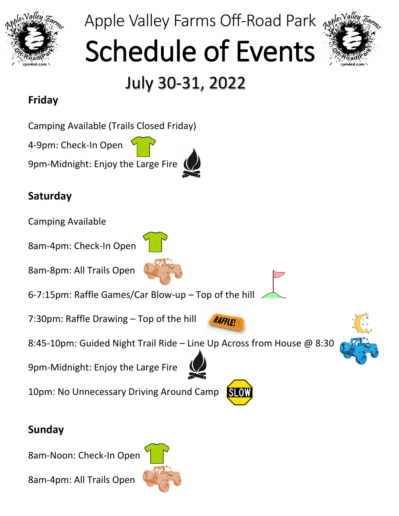

### Apple Valley Farms Off-Road Park

# Schedule of Events



## July 30-31, 2022

#### **Friday**

Camping Available (Trails Closed Friday)

4-9pm: Check-In Open

9pm-Midnight: Enjoy the Large Fire

#### **Saturday**

Camping Available

8am-4pm: Check-In Open

8am-8pm: All Trails Open



6-7:15pm: Raffle Games/Car Blow-up – Top of the hill

7:30pm: Raffle Drawing – Top of the hill

8:45-10pm: Guided Night Trail Ride – Line Up Across from House @ 8:30





9pm-Midnight: Enjoy the Large Fire

10pm: No Unnecessary Driving Around Camp



RAFFLE

#### **Sunday**

8am-Noon: Check-In Open

8am-4pm: All Trails Open

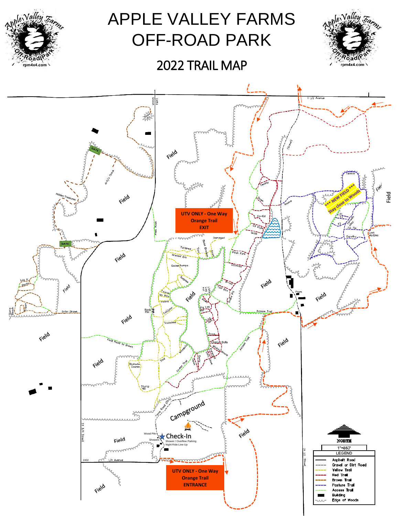